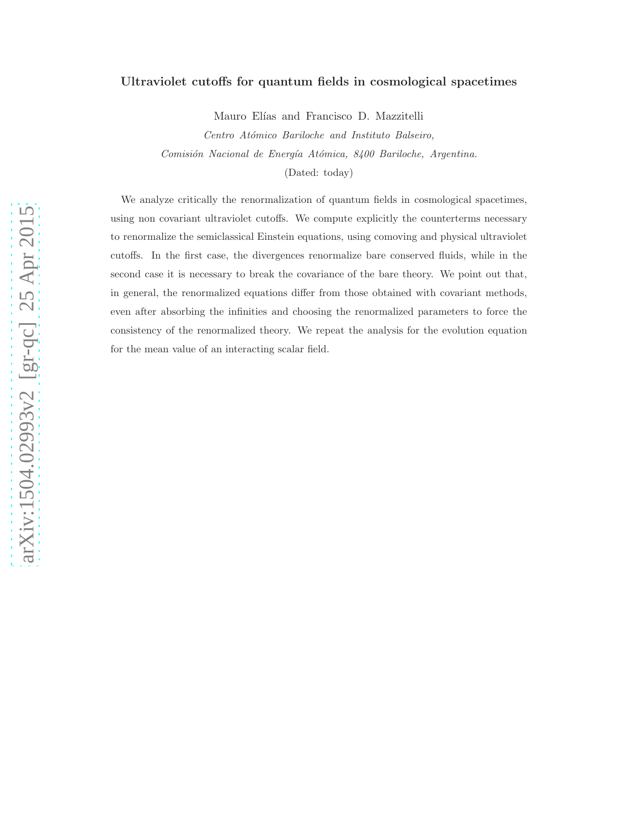## Ultraviolet cutoffs for quantum fields in cosmological spacetimes

Mauro Elías and Francisco D. Mazzitelli

Centro Atómico Bariloche and Instituto Balseiro, Comisión Nacional de Energía Atómica, 8400 Bariloche, Argentina. (Dated: today)

We analyze critically the renormalization of quantum fields in cosmological spacetimes, using non covariant ultraviolet cutoffs. We compute explicitly the counterterms necessary to renormalize the semiclassical Einstein equations, using comoving and physical ultraviolet cutoffs. In the first case, the divergences renormalize bare conserved fluids, while in the second case it is necessary to break the covariance of the bare theory. We point out that, in general, the renormalized equations differ from those obtained with covariant methods, even after absorbing the infinities and choosing the renormalized parameters to force the consistency of the renormalized theory. We repeat the analysis for the evolution equation for the mean value of an interacting scalar field.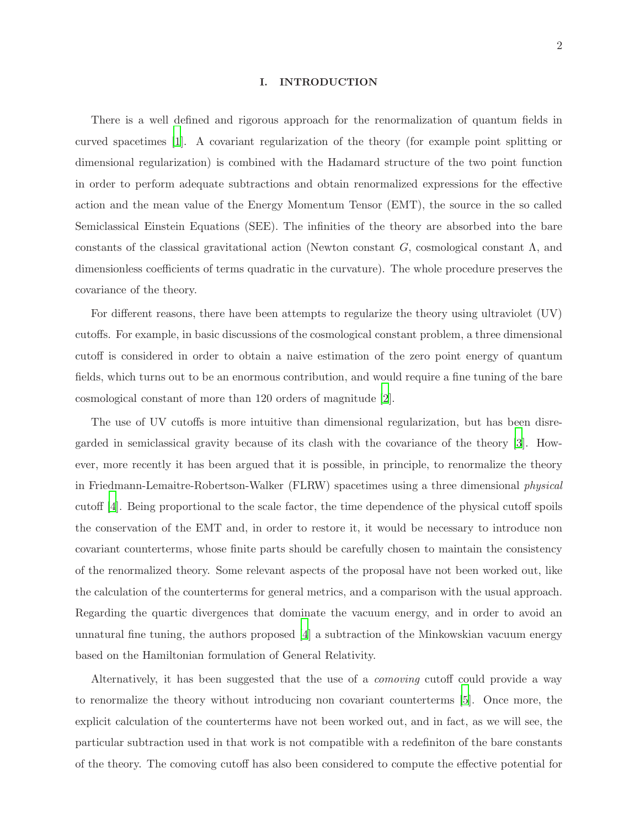#### I. INTRODUCTION

There is a well defined and rigorous approach for the renormalization of quantum fields in curved spacetimes [\[1\]](#page-17-0). A covariant regularization of the theory (for example point splitting or dimensional regularization) is combined with the Hadamard structure of the two point function in order to perform adequate subtractions and obtain renormalized expressions for the effective action and the mean value of the Energy Momentum Tensor (EMT), the source in the so called Semiclassical Einstein Equations (SEE). The infinities of the theory are absorbed into the bare constants of the classical gravitational action (Newton constant G, cosmological constant  $\Lambda$ , and dimensionless coefficients of terms quadratic in the curvature). The whole procedure preserves the covariance of the theory.

For different reasons, there have been attempts to regularize the theory using ultraviolet (UV) cutoffs. For example, in basic discussions of the cosmological constant problem, a three dimensional cutoff is considered in order to obtain a naive estimation of the zero point energy of quantum fields, which turns out to be an enormous contribution, and would require a fine tuning of the bare cosmological constant of more than 120 orders of magnitude [\[2\]](#page-17-1).

The use of UV cutoffs is more intuitive than dimensional regularization, but has been disregarded in semiclassical gravity because of its clash with the covariance of the theory [\[3\]](#page-17-2). However, more recently it has been argued that it is possible, in principle, to renormalize the theory in Friedmann-Lemaitre-Robertson-Walker (FLRW) spacetimes using a three dimensional physical cutoff [\[4\]](#page-17-3). Being proportional to the scale factor, the time dependence of the physical cutoff spoils the conservation of the EMT and, in order to restore it, it would be necessary to introduce non covariant counterterms, whose finite parts should be carefully chosen to maintain the consistency of the renormalized theory. Some relevant aspects of the proposal have not been worked out, like the calculation of the counterterms for general metrics, and a comparison with the usual approach. Regarding the quartic divergences that dominate the vacuum energy, and in order to avoid an unnatural fine tuning, the authors proposed  $\vert 4 \vert$  a subtraction of the Minkowskian vacuum energy based on the Hamiltonian formulation of General Relativity.

Alternatively, it has been suggested that the use of a comoving cutoff could provide a way to renormalize the theory without introducing non covariant counterterms [\[5](#page-18-0)]. Once more, the explicit calculation of the counterterms have not been worked out, and in fact, as we will see, the particular subtraction used in that work is not compatible with a redefiniton of the bare constants of the theory. The comoving cutoff has also been considered to compute the effective potential for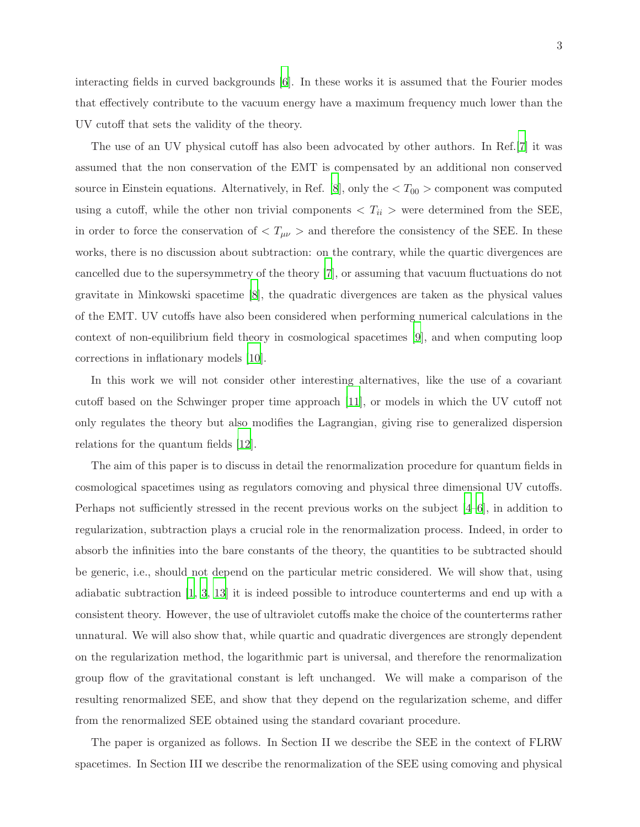interacting fields in curved backgrounds [\[6\]](#page-18-1). In these works it is assumed that the Fourier modes that effectively contribute to the vacuum energy have a maximum frequency much lower than the UV cutoff that sets the validity of the theory.

The use of an UV physical cutoff has also been advocated by other authors. In Ref.[\[7](#page-18-2)] it was assumed that the non conservation of the EMT is compensated by an additional non conserved source in Einstein equations. Alternatively, in Ref. [\[8](#page-18-3)], only the  $\langle T_{00} \rangle$  component was computed using a cutoff, while the other non trivial components  $\langle T_{ii} \rangle$  were determined from the SEE, in order to force the conservation of  $\langle T_{\mu\nu} \rangle$  and therefore the consistency of the SEE. In these works, there is no discussion about subtraction: on the contrary, while the quartic divergences are cancelled due to the supersymmetry of the theory [\[7](#page-18-2)], or assuming that vacuum fluctuations do not gravitate in Minkowski spacetime [\[8](#page-18-3)], the quadratic divergences are taken as the physical values of the EMT. UV cutoffs have also been considered when performing numerical calculations in the context of non-equilibrium field theory in cosmological spacetimes [\[9\]](#page-18-4), and when computing loop corrections in inflationary models [\[10](#page-18-5)].

In this work we will not consider other interesting alternatives, like the use of a covariant cutoff based on the Schwinger proper time approach [\[11](#page-18-6)], or models in which the UV cutoff not only regulates the theory but also modifies the Lagrangian, giving rise to generalized dispersion relations for the quantum fields [\[12\]](#page-18-7).

The aim of this paper is to discuss in detail the renormalization procedure for quantum fields in cosmological spacetimes using as regulators comoving and physical three dimensional UV cutoffs. Perhaps not sufficiently stressed in the recent previous works on the subject [\[4](#page-17-3)[–6](#page-18-1)], in addition to regularization, subtraction plays a crucial role in the renormalization process. Indeed, in order to absorb the infinities into the bare constants of the theory, the quantities to be subtracted should be generic, i.e., should not depend on the particular metric considered. We will show that, using adiabatic subtraction [\[1,](#page-17-0) [3](#page-17-2), [13](#page-18-8)] it is indeed possible to introduce counterterms and end up with a consistent theory. However, the use of ultraviolet cutoffs make the choice of the counterterms rather unnatural. We will also show that, while quartic and quadratic divergences are strongly dependent on the regularization method, the logarithmic part is universal, and therefore the renormalization group flow of the gravitational constant is left unchanged. We will make a comparison of the resulting renormalized SEE, and show that they depend on the regularization scheme, and differ from the renormalized SEE obtained using the standard covariant procedure.

The paper is organized as follows. In Section II we describe the SEE in the context of FLRW spacetimes. In Section III we describe the renormalization of the SEE using comoving and physical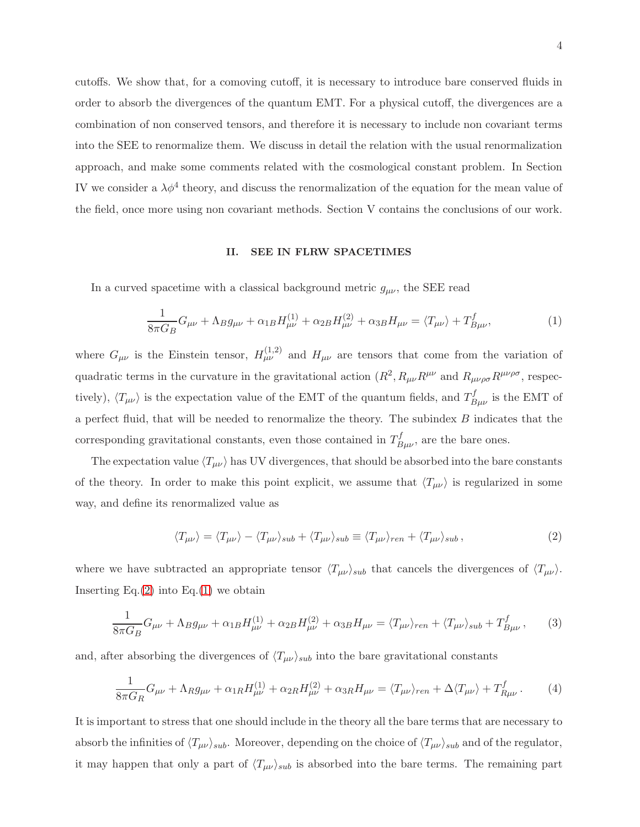cutoffs. We show that, for a comoving cutoff, it is necessary to introduce bare conserved fluids in order to absorb the divergences of the quantum EMT. For a physical cutoff, the divergences are a combination of non conserved tensors, and therefore it is necessary to include non covariant terms into the SEE to renormalize them. We discuss in detail the relation with the usual renormalization approach, and make some comments related with the cosmological constant problem. In Section IV we consider a  $\lambda \phi^4$  theory, and discuss the renormalization of the equation for the mean value of the field, once more using non covariant methods. Section V contains the conclusions of our work.

## II. SEE IN FLRW SPACETIMES

In a curved spacetime with a classical background metric  $g_{\mu\nu}$ , the SEE read

<span id="page-3-1"></span>
$$
\frac{1}{8\pi G_B}G_{\mu\nu} + \Lambda_B g_{\mu\nu} + \alpha_{1B}H_{\mu\nu}^{(1)} + \alpha_{2B}H_{\mu\nu}^{(2)} + \alpha_{3B}H_{\mu\nu} = \langle T_{\mu\nu} \rangle + T_{B\mu\nu}^f, \tag{1}
$$

where  $G_{\mu\nu}$  is the Einstein tensor,  $H_{\mu\nu}^{(1,2)}$  and  $H_{\mu\nu}$  are tensors that come from the variation of quadratic terms in the curvature in the gravitational action  $(R^2, R_{\mu\nu}R^{\mu\nu})$  and  $R_{\mu\nu\rho\sigma}R^{\mu\nu\rho\sigma}$ , respectively),  $\langle T_{\mu\nu} \rangle$  is the expectation value of the EMT of the quantum fields, and  $T_{B\mu\nu}^f$  is the EMT of a perfect fluid, that will be needed to renormalize the theory. The subindex B indicates that the corresponding gravitational constants, even those contained in  $T_{B\mu\nu}^f$ , are the bare ones.

The expectation value  $\langle T_{\mu\nu} \rangle$  has UV divergences, that should be absorbed into the bare constants of the theory. In order to make this point explicit, we assume that  $\langle T_{\mu\nu} \rangle$  is regularized in some way, and define its renormalized value as

<span id="page-3-0"></span>
$$
\langle T_{\mu\nu} \rangle = \langle T_{\mu\nu} \rangle - \langle T_{\mu\nu} \rangle_{sub} + \langle T_{\mu\nu} \rangle_{sub} \equiv \langle T_{\mu\nu} \rangle_{ren} + \langle T_{\mu\nu} \rangle_{sub} , \tag{2}
$$

where we have subtracted an appropriate tensor  $\langle T_{\mu\nu} \rangle_{sub}$  that cancels the divergences of  $\langle T_{\mu\nu} \rangle$ . Inserting  $Eq.(2)$  $Eq.(2)$  into  $Eq.(1)$  $Eq.(1)$  we obtain

$$
\frac{1}{8\pi G_B}G_{\mu\nu} + \Lambda_B g_{\mu\nu} + \alpha_{1B}H_{\mu\nu}^{(1)} + \alpha_{2B}H_{\mu\nu}^{(2)} + \alpha_{3B}H_{\mu\nu} = \langle T_{\mu\nu}\rangle_{ren} + \langle T_{\mu\nu}\rangle_{sub} + T_{B\mu\nu}^f, \qquad (3)
$$

and, after absorbing the divergences of  $\langle T_{\mu\nu} \rangle_{sub}$  into the bare gravitational constants

<span id="page-3-2"></span>
$$
\frac{1}{8\pi G_R}G_{\mu\nu} + \Lambda_R g_{\mu\nu} + \alpha_{1R}H_{\mu\nu}^{(1)} + \alpha_{2R}H_{\mu\nu}^{(2)} + \alpha_{3R}H_{\mu\nu} = \langle T_{\mu\nu}\rangle_{ren} + \Delta\langle T_{\mu\nu}\rangle + T_{R\mu\nu}^f. \tag{4}
$$

It is important to stress that one should include in the theory all the bare terms that are necessary to absorb the infinities of  $\langle T_{\mu\nu} \rangle_{sub}$ . Moreover, depending on the choice of  $\langle T_{\mu\nu} \rangle_{sub}$  and of the regulator, it may happen that only a part of  $\langle T_{\mu\nu} \rangle_{sub}$  is absorbed into the bare terms. The remaining part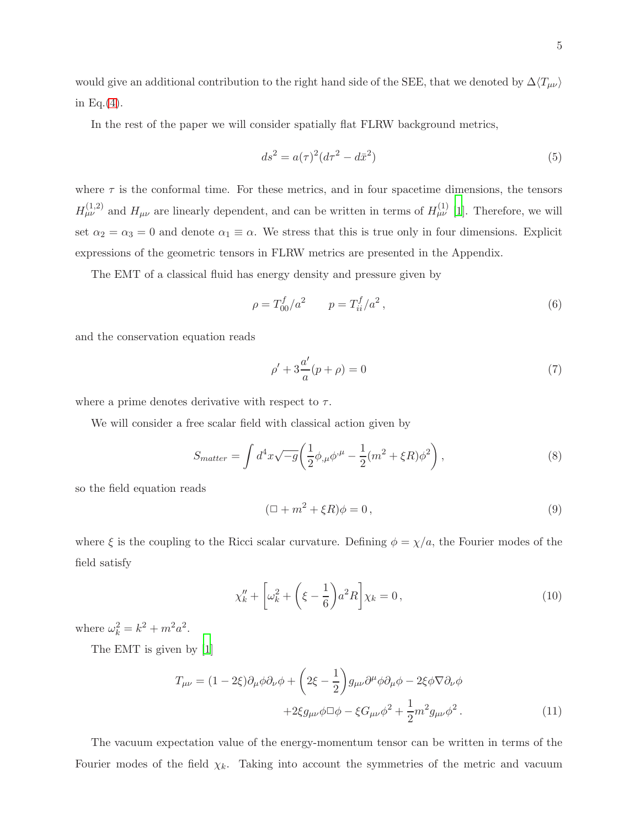would give an additional contribution to the right hand side of the SEE, that we denoted by  $\Delta\langle T_{\mu\nu} \rangle$ in Eq. $(4)$ .

In the rest of the paper we will consider spatially flat FLRW background metrics,

$$
ds^{2} = a(\tau)^{2}(d\tau^{2} - d\bar{x}^{2})
$$
\n(5)

where  $\tau$  is the conformal time. For these metrics, and in four spacetime dimensions, the tensors  $H^{(1,2)}_{\mu\nu}$  and  $H_{\mu\nu}$  are linearly dependent, and can be written in terms of  $H^{(1)}_{\mu\nu}$  [\[1](#page-17-0)]. Therefore, we will set  $\alpha_2 = \alpha_3 = 0$  and denote  $\alpha_1 \equiv \alpha$ . We stress that this is true only in four dimensions. Explicit expressions of the geometric tensors in FLRW metrics are presented in the Appendix.

The EMT of a classical fluid has energy density and pressure given by

$$
\rho = T_{00}^f / a^2 \qquad p = T_{ii}^f / a^2 \,, \tag{6}
$$

and the conservation equation reads

$$
\rho' + 3\frac{a'}{a}(p+\rho) = 0\tag{7}
$$

where a prime denotes derivative with respect to  $\tau$ .

We will consider a free scalar field with classical action given by

$$
S_{matter} = \int d^4x \sqrt{-g} \left( \frac{1}{2} \phi_{,\mu} \phi^{,\mu} - \frac{1}{2} (m^2 + \xi R) \phi^2 \right), \tag{8}
$$

so the field equation reads

$$
(\Box + m^2 + \xi R)\phi = 0, \qquad (9)
$$

where  $\xi$  is the coupling to the Ricci scalar curvature. Defining  $\phi = \chi/a$ , the Fourier modes of the field satisfy

<span id="page-4-0"></span>
$$
\chi_k'' + \left[\omega_k^2 + \left(\xi - \frac{1}{6}\right)a^2 R\right] \chi_k = 0, \qquad (10)
$$

where  $\omega_k^2 = k^2 + m^2 a^2$ .

The EMT is given by [\[1](#page-17-0)]

$$
T_{\mu\nu} = (1 - 2\xi)\partial_{\mu}\phi\partial_{\nu}\phi + \left(2\xi - \frac{1}{2}\right)g_{\mu\nu}\partial^{\mu}\phi\partial_{\mu}\phi - 2\xi\phi\nabla\partial_{\nu}\phi
$$

$$
+ 2\xi g_{\mu\nu}\phi\Box\phi - \xi G_{\mu\nu}\phi^2 + \frac{1}{2}m^2 g_{\mu\nu}\phi^2.
$$
(11)

The vacuum expectation value of the energy-momentum tensor can be written in terms of the Fourier modes of the field  $\chi_k$ . Taking into account the symmetries of the metric and vacuum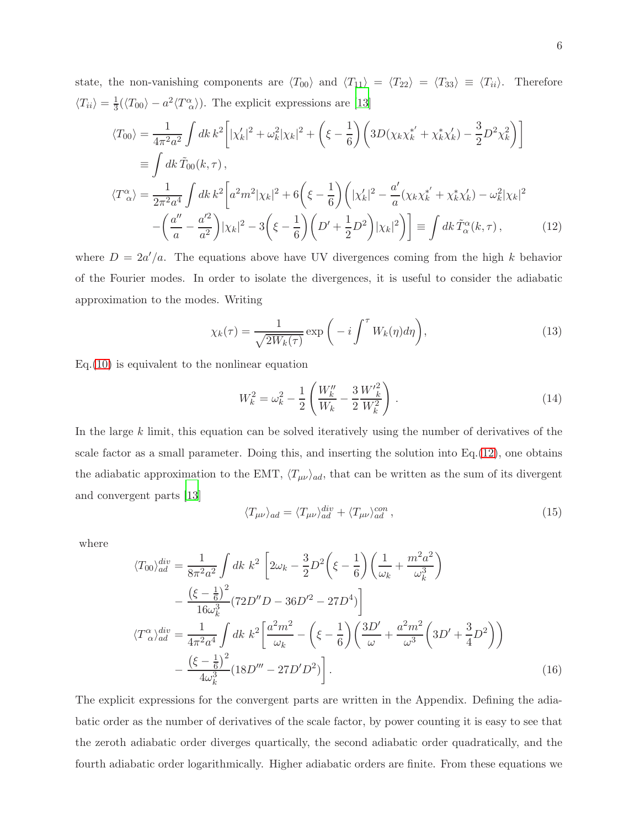state, the non-vanishing components are  $\langle T_{00} \rangle$  and  $\langle T_{11} \rangle = \langle T_{22} \rangle = \langle T_{33} \rangle \equiv \langle T_{ii} \rangle$ . Therefore  $\langle T_{ii} \rangle = \frac{1}{3} (\langle T_{00} \rangle - a^2 \langle T_{\alpha}^{\alpha} \rangle)$ . The explicit expressions are [\[13\]](#page-18-8)

<span id="page-5-0"></span>
$$
\langle T_{00} \rangle = \frac{1}{4\pi^2 a^2} \int dk \, k^2 \Big[ |\chi'_k|^2 + \omega_k^2 |\chi_k|^2 + \left( \xi - \frac{1}{6} \right) \Big( 3D(\chi_k \chi_k^{*'} + \chi_k^* \chi'_k) - \frac{3}{2} D^2 \chi_k^2 \Big) \Big]
$$
  
\n
$$
\equiv \int dk \, \tilde{T}_{00}(k, \tau),
$$
  
\n
$$
\langle T_{\alpha}^{\alpha} \rangle = \frac{1}{2\pi^2 a^4} \int dk \, k^2 \Big[ a^2 m^2 |\chi_k|^2 + 6 \Big( \xi - \frac{1}{6} \Big) \Big( |\chi'_k|^2 - \frac{a'}{a} (\chi_k \chi_k^{*'} + \chi_k^* \chi'_k) - \omega_k^2 |\chi_k|^2
$$
  
\n
$$
- \Big( \frac{a''}{a} - \frac{a'^2}{a^2} \Big) |\chi_k|^2 - 3 \Big( \xi - \frac{1}{6} \Big) \Big( D' + \frac{1}{2} D^2 \Big) |\chi_k|^2 \Big) \Big] \equiv \int dk \, \tilde{T}_{\alpha}^{\alpha}(k, \tau), \tag{12}
$$

where  $D = 2a'/a$ . The equations above have UV divergences coming from the high k behavior of the Fourier modes. In order to isolate the divergences, it is useful to consider the adiabatic approximation to the modes. Writing

<span id="page-5-2"></span>
$$
\chi_k(\tau) = \frac{1}{\sqrt{2W_k(\tau)}} \exp\left(-i \int^{\tau} W_k(\eta) d\eta\right),\tag{13}
$$

 $Eq.(10)$  $Eq.(10)$  is equivalent to the nonlinear equation

<span id="page-5-3"></span>
$$
W_k^2 = \omega_k^2 - \frac{1}{2} \left( \frac{W_k''}{W_k} - \frac{3}{2} \frac{W_k'^2}{W_k^2} \right). \tag{14}
$$

In the large k limit, this equation can be solved iteratively using the number of derivatives of the scale factor as a small parameter. Doing this, and inserting the solution into  $Eq.(12)$  $Eq.(12)$ , one obtains the adiabatic approximation to the EMT,  $\langle T_{\mu\nu} \rangle_{ad}$ , that can be written as the sum of its divergent and convergent parts [\[13\]](#page-18-8)

<span id="page-5-4"></span>
$$
\langle T_{\mu\nu} \rangle_{ad} = \langle T_{\mu\nu} \rangle_{ad}^{div} + \langle T_{\mu\nu} \rangle_{ad}^{con} , \qquad (15)
$$

where

<span id="page-5-1"></span>
$$
\langle T_{00} \rangle_{ad}^{div} = \frac{1}{8\pi^2 a^2} \int dk \ k^2 \left[ 2\omega_k - \frac{3}{2} D^2 \left( \xi - \frac{1}{6} \right) \left( \frac{1}{\omega_k} + \frac{m^2 a^2}{\omega_k^3} \right) \right. \\
\left. - \frac{\left( \xi - \frac{1}{6} \right)^2}{16\omega_k^3} (72D''D - 36D'^2 - 27D^4) \right] \\
\langle T_{\alpha}^{\alpha} \rangle_{ad}^{div} = \frac{1}{4\pi^2 a^4} \int dk \ k^2 \left[ \frac{a^2 m^2}{\omega_k} - \left( \xi - \frac{1}{6} \right) \left( \frac{3D'}{\omega} + \frac{a^2 m^2}{\omega^3} \left( 3D' + \frac{3}{4} D^2 \right) \right) \right. \\
\left. - \frac{\left( \xi - \frac{1}{6} \right)^2}{4\omega_k^3} (18D''' - 27D'D^2) \right].\n\tag{16}
$$

The explicit expressions for the convergent parts are written in the Appendix. Defining the adiabatic order as the number of derivatives of the scale factor, by power counting it is easy to see that the zeroth adiabatic order diverges quartically, the second adiabatic order quadratically, and the fourth adiabatic order logarithmically. Higher adiabatic orders are finite. From these equations we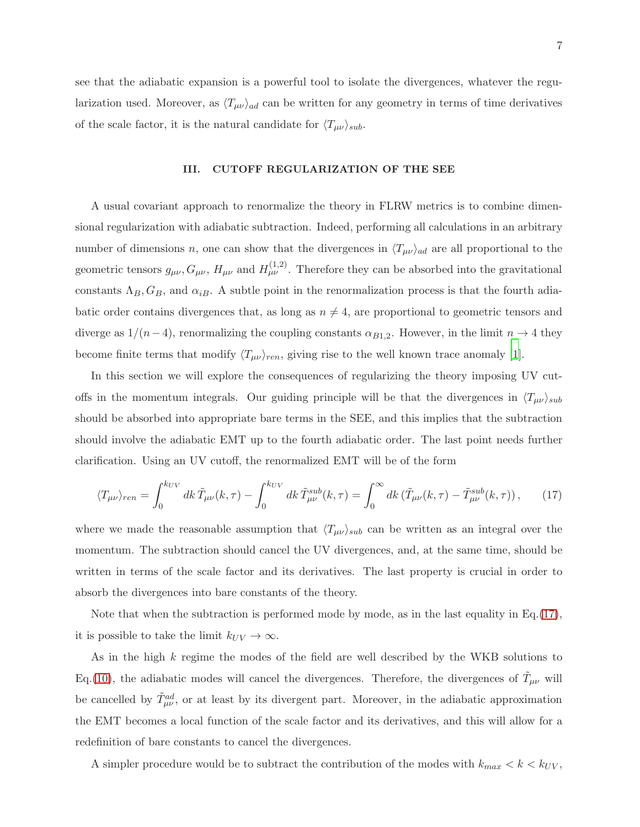see that the adiabatic expansion is a powerful tool to isolate the divergences, whatever the regularization used. Moreover, as  $\langle T_{\mu\nu} \rangle_{ad}$  can be written for any geometry in terms of time derivatives of the scale factor, it is the natural candidate for  $\langle T_{\mu\nu} \rangle_{sub}$ .

# III. CUTOFF REGULARIZATION OF THE SEE

A usual covariant approach to renormalize the theory in FLRW metrics is to combine dimensional regularization with adiabatic subtraction. Indeed, performing all calculations in an arbitrary number of dimensions n, one can show that the divergences in  $\langle T_{\mu\nu} \rangle_{ad}$  are all proportional to the geometric tensors  $g_{\mu\nu}$ ,  $G_{\mu\nu}$ ,  $H_{\mu\nu}$  and  $H_{\mu\nu}^{(1,2)}$ . Therefore they can be absorbed into the gravitational constants  $\Lambda_B$ ,  $G_B$ , and  $\alpha_{iB}$ . A subtle point in the renormalization process is that the fourth adiabatic order contains divergences that, as long as  $n \neq 4$ , are proportional to geometric tensors and diverge as  $1/(n-4)$ , renormalizing the coupling constants  $\alpha_{B1,2}$ . However, in the limit  $n \to 4$  they become finite terms that modify  $\langle T_{\mu\nu} \rangle_{ren}$ , giving rise to the well known trace anomaly [\[1](#page-17-0)].

In this section we will explore the consequences of regularizing the theory imposing UV cutoffs in the momentum integrals. Our guiding principle will be that the divergences in  $\langle T_{\mu\nu} \rangle_{sub}$ should be absorbed into appropriate bare terms in the SEE, and this implies that the subtraction should involve the adiabatic EMT up to the fourth adiabatic order. The last point needs further clarification. Using an UV cutoff, the renormalized EMT will be of the form

<span id="page-6-0"></span>
$$
\langle T_{\mu\nu}\rangle_{ren} = \int_0^{k_{UV}} dk \,\tilde{T}_{\mu\nu}(k,\tau) - \int_0^{k_{UV}} dk \,\tilde{T}_{\mu\nu}^{sub}(k,\tau) = \int_0^\infty dk \,(\tilde{T}_{\mu\nu}(k,\tau) - \tilde{T}_{\mu\nu}^{sub}(k,\tau)),\tag{17}
$$

where we made the reasonable assumption that  $\langle T_{\mu\nu} \rangle_{sub}$  can be written as an integral over the momentum. The subtraction should cancel the UV divergences, and, at the same time, should be written in terms of the scale factor and its derivatives. The last property is crucial in order to absorb the divergences into bare constants of the theory.

Note that when the subtraction is performed mode by mode, as in the last equality in Eq. $(17)$ , it is possible to take the limit  $k_{UV} \rightarrow \infty$ .

As in the high k regime the modes of the field are well described by the WKB solutions to Eq.[\(10\)](#page-4-0), the adiabatic modes will cancel the divergences. Therefore, the divergences of  $\tilde{T}_{\mu\nu}$  will be cancelled by  $\tilde{T}^{ad}_{\mu\nu}$ , or at least by its divergent part. Moreover, in the adiabatic approximation the EMT becomes a local function of the scale factor and its derivatives, and this will allow for a redefinition of bare constants to cancel the divergences.

A simpler procedure would be to subtract the contribution of the modes with  $k_{max} < k < k_{UV}$ ,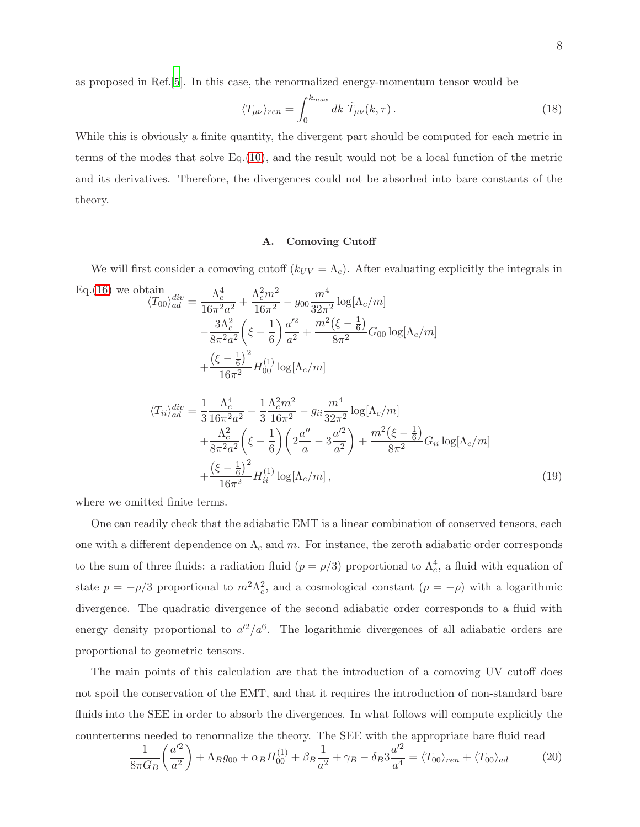as proposed in Ref.[\[5](#page-18-0)]. In this case, the renormalized energy-momentum tensor would be

$$
\langle T_{\mu\nu}\rangle_{ren} = \int_0^{k_{max}} dk \ \tilde{T}_{\mu\nu}(k,\tau). \tag{18}
$$

While this is obviously a finite quantity, the divergent part should be computed for each metric in terms of the modes that solve Eq.[\(10\)](#page-4-0), and the result would not be a local function of the metric and its derivatives. Therefore, the divergences could not be absorbed into bare constants of the theory.

### A. Comoving Cutoff

We will first consider a comoving cutoff  $(k_{UV} = \Lambda_c)$ . After evaluating explicitly the integrals in

<span id="page-7-0"></span>Eq.(16) we obtain  
\n
$$
\langle T_{00} \rangle_{ad}^{div} = \frac{\Lambda_c^4}{16\pi^2 a^2} + \frac{\Lambda_c^2 m^2}{16\pi^2} - g_{00} \frac{m^4}{32\pi^2} \log[\Lambda_c/m]
$$
\n
$$
- \frac{3\Lambda_c^2}{8\pi^2 a^2} \left( \xi - \frac{1}{6} \right) \frac{a'^2}{a^2} + \frac{m^2(\xi - \frac{1}{6})}{8\pi^2} G_{00} \log[\Lambda_c/m]
$$
\n
$$
+ \frac{\left( \xi - \frac{1}{6} \right)^2}{16\pi^2} H_{00}^{(1)} \log[\Lambda_c/m]
$$
\n
$$
\langle T_{ii} \rangle_{ad}^{div} = \frac{1}{3} \frac{\Lambda_c^4}{16\pi^2 a^2} - \frac{1}{3} \frac{\Lambda_c^2 m^2}{16\pi^2} - g_{ii} \frac{m^4}{32\pi^2} \log[\Lambda_c/m]
$$

$$
q_{ii}/\widetilde{ad} = \frac{1}{3} \frac{16\pi^2 a^2}{16\pi^2 a^2} - \frac{1}{3} \frac{16\pi^2}{16\pi^2} - 9ii \frac{32\pi^2}{32\pi^2} \log[\Lambda_c/m]
$$
  
+  $\frac{\Lambda_c^2}{8\pi^2 a^2} \left(\xi - \frac{1}{6}\right) \left(2\frac{a''}{a} - 3\frac{a'^2}{a^2}\right) + \frac{m^2(\xi - \frac{1}{6})}{8\pi^2} G_{ii} \log[\Lambda_c/m]$   
+  $\frac{(\xi - \frac{1}{6})^2}{16\pi^2} H_{ii}^{(1)} \log[\Lambda_c/m]$ , (19)

where we omitted finite terms.

One can readily check that the adiabatic EMT is a linear combination of conserved tensors, each one with a different dependence on  $\Lambda_c$  and m. For instance, the zeroth adiabatic order corresponds to the sum of three fluids: a radiation fluid  $(p = \rho/3)$  proportional to  $\Lambda_c^4$ , a fluid with equation of state  $p = -\rho/3$  proportional to  $m^2\Lambda_c^2$ , and a cosmological constant  $(p = -\rho)$  with a logarithmic divergence. The quadratic divergence of the second adiabatic order corresponds to a fluid with energy density proportional to  $a'^2/a^6$ . The logarithmic divergences of all adiabatic orders are proportional to geometric tensors.

The main points of this calculation are that the introduction of a comoving UV cutoff does not spoil the conservation of the EMT, and that it requires the introduction of non-standard bare fluids into the SEE in order to absorb the divergences. In what follows will compute explicitly the counterterms needed to renormalize the theory. The SEE with the appropriate bare fluid read

$$
\frac{1}{8\pi G_B} \left(\frac{a'^2}{a^2}\right) + \Lambda_B g_{00} + \alpha_B H_{00}^{(1)} + \beta_B \frac{1}{a^2} + \gamma_B - \delta_B 3 \frac{a'^2}{a^4} = \langle T_{00} \rangle_{ren} + \langle T_{00} \rangle_{ad} \tag{20}
$$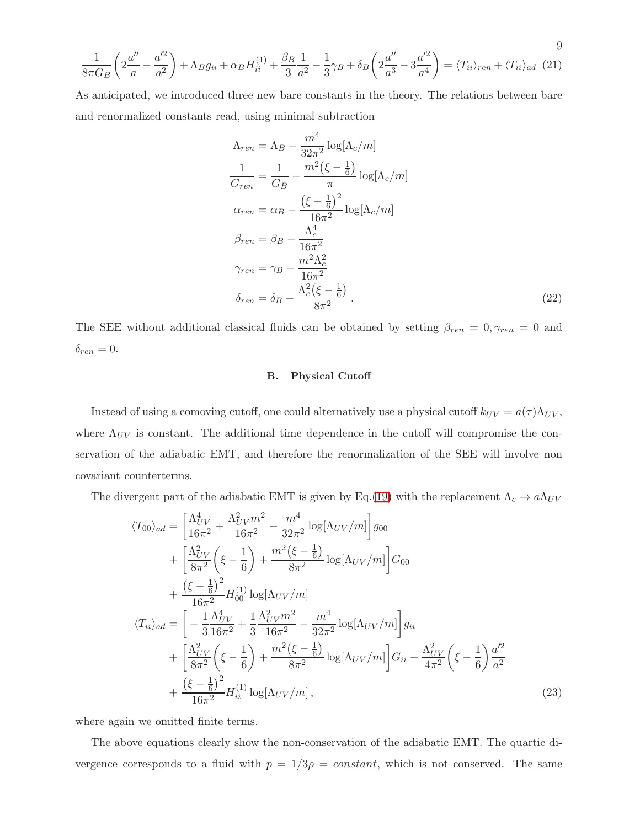$$
\frac{1}{8\pi G_B} \left( 2\frac{a''}{a} - \frac{a'^2}{a^2} \right) + \Lambda_B g_{ii} + \alpha_B H_{ii}^{(1)} + \frac{\beta_B}{3} \frac{1}{a^2} - \frac{1}{3} \gamma_B + \delta_B \left( 2\frac{a''}{a^3} - 3\frac{a'^2}{a^4} \right) = \langle T_{ii} \rangle_{ren} + \langle T_{ii} \rangle_{ad} \tag{21}
$$

As anticipated, we introduced three new bare constants in the theory. The relations between bare and renormalized constants read, using minimal subtraction

$$
\Lambda_{ren} = \Lambda_B - \frac{m^4}{32\pi^2} \log[\Lambda_c/m]
$$
  
\n
$$
\frac{1}{G_{ren}} = \frac{1}{G_B} - \frac{m^2(\xi - \frac{1}{6})}{\pi} \log[\Lambda_c/m]
$$
  
\n
$$
\alpha_{ren} = \alpha_B - \frac{(\xi - \frac{1}{6})^2}{16\pi^2} \log[\Lambda_c/m]
$$
  
\n
$$
\beta_{ren} = \beta_B - \frac{\Lambda_c^4}{16\pi^2}
$$
  
\n
$$
\gamma_{ren} = \gamma_B - \frac{m^2\Lambda_c^2}{16\pi^2}
$$
  
\n
$$
\delta_{ren} = \delta_B - \frac{\Lambda_c^2(\xi - \frac{1}{6})}{8\pi^2}.
$$
\n(22)

The SEE without additional classical fluids can be obtained by setting  $\beta_{ren} = 0, \gamma_{ren} = 0$  and  $\delta_{ren} = 0.$ 

### B. Physical Cutoff

Instead of using a comoving cutoff, one could alternatively use a physical cutoff  $k_{UV} = a(\tau) \Lambda_{UV}$ , where  $\Lambda_{UV}$  is constant. The additional time dependence in the cutoff will compromise the conservation of the adiabatic EMT, and therefore the renormalization of the SEE will involve non covariant counterterms.

The divergent part of the adiabatic EMT is given by Eq.[\(19\)](#page-7-0) with the replacement  $\Lambda_c \to a\Lambda_{UV}$ 

<span id="page-8-0"></span>
$$
\langle T_{00}\rangle_{ad} = \left[\frac{\Lambda_{UV}^4}{16\pi^2} + \frac{\Lambda_{UV}^2 m^2}{16\pi^2} - \frac{m^4}{32\pi^2} \log[\Lambda_{UV}/m]\right]g_{00} \n+ \left[\frac{\Lambda_{UV}^2}{8\pi^2} \left(\xi - \frac{1}{6}\right) + \frac{m^2(\xi - \frac{1}{6})}{8\pi^2} \log[\Lambda_{UV}/m]\right]G_{00} \n+ \frac{(\xi - \frac{1}{6})^2}{16\pi^2} H_{00}^{(1)} \log[\Lambda_{UV}/m] \n\langle T_{ii}\rangle_{ad} = \left[-\frac{1}{3} \frac{\Lambda_{UV}^4}{16\pi^2} + \frac{1}{3} \frac{\Lambda_{UV}^2 m^2}{16\pi^2} - \frac{m^4}{32\pi^2} \log[\Lambda_{UV}/m]\right]g_{ii} \n+ \left[\frac{\Lambda_{UV}^2}{8\pi^2} \left(\xi - \frac{1}{6}\right) + \frac{m^2(\xi - \frac{1}{6})}{8\pi^2} \log[\Lambda_{UV}/m]\right]G_{ii} - \frac{\Lambda_{UV}^2}{4\pi^2} \left(\xi - \frac{1}{6}\right) \frac{a'^2}{a^2} \n+ \frac{(\xi - \frac{1}{6})^2}{16\pi^2} H_{ii}^{(1)} \log[\Lambda_{UV}/m],
$$
\n(23)

where again we omitted finite terms.

The above equations clearly show the non-conservation of the adiabatic EMT. The quartic divergence corresponds to a fluid with  $p = 1/3\rho = constant$ , which is not conserved. The same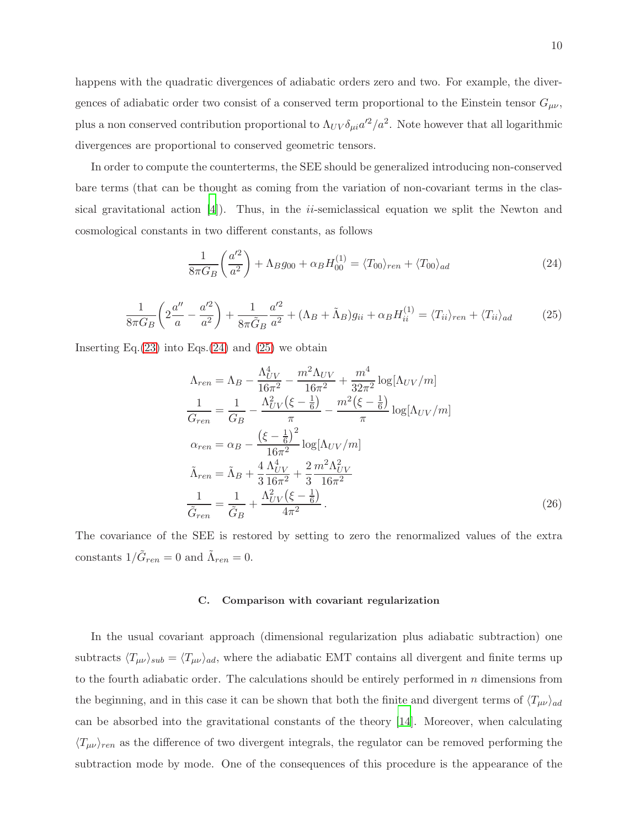happens with the quadratic divergences of adiabatic orders zero and two. For example, the divergences of adiabatic order two consist of a conserved term proportional to the Einstein tensor  $G_{\mu\nu}$ , plus a non conserved contribution proportional to  $\Lambda_{UV}\delta_{\mu i}a'^2/a^2$ . Note however that all logarithmic divergences are proportional to conserved geometric tensors.

In order to compute the counterterms, the SEE should be generalized introducing non-conserved bare terms (that can be thought as coming from the variation of non-covariant terms in the classical gravitational action  $[4]$ ). Thus, in the *ii*-semiclassical equation we split the Newton and cosmological constants in two different constants, as follows

<span id="page-9-0"></span>
$$
\frac{1}{8\pi G_B} \left(\frac{a'^2}{a^2}\right) + \Lambda_B g_{00} + \alpha_B H_{00}^{(1)} = \langle T_{00} \rangle_{ren} + \langle T_{00} \rangle_{ad} \tag{24}
$$

<span id="page-9-1"></span>
$$
\frac{1}{8\pi G_B} \left( 2\frac{a''}{a} - \frac{a'^2}{a^2} \right) + \frac{1}{8\pi \tilde{G}_B} \frac{a'^2}{a^2} + (\Lambda_B + \tilde{\Lambda}_B)g_{ii} + \alpha_B H_{ii}^{(1)} = \langle T_{ii} \rangle_{ren} + \langle T_{ii} \rangle_{ad} \tag{25}
$$

Inserting Eq. $(23)$  into Eqs. $(24)$  and  $(25)$  we obtain

$$
\Lambda_{ren} = \Lambda_B - \frac{\Lambda_{UV}^4}{16\pi^2} - \frac{m^2 \Lambda_{UV}}{16\pi^2} + \frac{m^4}{32\pi^2} \log[\Lambda_{UV}/m]
$$
  
\n
$$
\frac{1}{G_{ren}} = \frac{1}{G_B} - \frac{\Lambda_{UV}^2(\xi - \frac{1}{6})}{\pi} - \frac{m^2(\xi - \frac{1}{6})}{\pi} \log[\Lambda_{UV}/m]
$$
  
\n
$$
\alpha_{ren} = \alpha_B - \frac{(\xi - \frac{1}{6})^2}{16\pi^2} \log[\Lambda_{UV}/m]
$$
  
\n
$$
\tilde{\Lambda}_{ren} = \tilde{\Lambda}_B + \frac{4}{3} \frac{\Lambda_{UV}^4}{16\pi^2} + \frac{2}{3} \frac{m^2 \Lambda_{UV}^2}{16\pi^2}
$$
  
\n
$$
\frac{1}{\tilde{G}_{ren}} = \frac{1}{\tilde{G}_B} + \frac{\Lambda_{UV}^2(\xi - \frac{1}{6})}{4\pi^2}.
$$
\n(26)

The covariance of the SEE is restored by setting to zero the renormalized values of the extra constants  $1/\tilde{G}_{ren} = 0$  and  $\tilde{\Lambda}_{ren} = 0$ .

#### C. Comparison with covariant regularization

In the usual covariant approach (dimensional regularization plus adiabatic subtraction) one subtracts  $\langle T_{\mu\nu}\rangle_{sub} = \langle T_{\mu\nu}\rangle_{ad}$ , where the adiabatic EMT contains all divergent and finite terms up to the fourth adiabatic order. The calculations should be entirely performed in  $n$  dimensions from the beginning, and in this case it can be shown that both the finite and divergent terms of  $\langle T_{\mu\nu}\rangle_{ad}$ can be absorbed into the gravitational constants of the theory [\[14\]](#page-18-9). Moreover, when calculating  $\langle T_{\mu\nu} \rangle_{ren}$  as the difference of two divergent integrals, the regulator can be removed performing the subtraction mode by mode. One of the consequences of this procedure is the appearance of the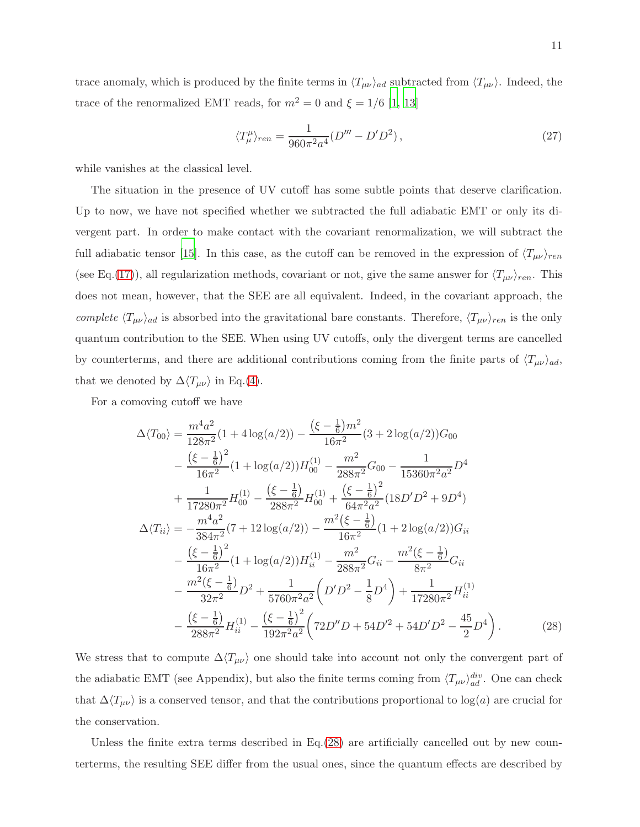trace anomaly, which is produced by the finite terms in  $\langle T_{\mu\nu} \rangle_{ad}$  subtracted from  $\langle T_{\mu\nu} \rangle$ . Indeed, the trace of the renormalized EMT reads, for  $m^2 = 0$  and  $\xi = 1/6$  [\[1](#page-17-0), [13\]](#page-18-8)

<span id="page-10-1"></span>
$$
\langle T^{\mu}_{\mu}\rangle_{ren} = \frac{1}{960\pi^2 a^4} (D''' - D'D^2) ,\qquad (27)
$$

while vanishes at the classical level.

The situation in the presence of UV cutoff has some subtle points that deserve clarification. Up to now, we have not specified whether we subtracted the full adiabatic EMT or only its divergent part. In order to make contact with the covariant renormalization, we will subtract the full adiabatic tensor [\[15\]](#page-18-10). In this case, as the cutoff can be removed in the expression of  $\langle T_{\mu\nu} \rangle_{ren}$ (see Eq.[\(17\)](#page-6-0)), all regularization methods, covariant or not, give the same answer for  $\langle T_{\mu\nu} \rangle_{ren}$ . This does not mean, however, that the SEE are all equivalent. Indeed, in the covariant approach, the complete  $\langle T_{\mu\nu}\rangle_{ad}$  is absorbed into the gravitational bare constants. Therefore,  $\langle T_{\mu\nu}\rangle_{ren}$  is the only quantum contribution to the SEE. When using UV cutoffs, only the divergent terms are cancelled by counterterms, and there are additional contributions coming from the finite parts of  $\langle T_{\mu\nu} \rangle_{ad}$ , that we denoted by  $\Delta \langle T_{\mu\nu} \rangle$  in Eq.[\(4\)](#page-3-2).

For a comoving cutoff we have

<span id="page-10-0"></span>
$$
\Delta \langle T_{00} \rangle = \frac{m^4 a^2}{128\pi^2} (1 + 4 \log(a/2)) - \frac{(\xi - \frac{1}{6})m^2}{16\pi^2} (3 + 2 \log(a/2)) G_{00}
$$
  
\n
$$
- \frac{(\xi - \frac{1}{6})^2}{16\pi^2} (1 + \log(a/2)) H_{00}^{(1)} - \frac{m^2}{288\pi^2} G_{00} - \frac{1}{15360\pi^2 a^2} D^4
$$
  
\n
$$
+ \frac{1}{17280\pi^2} H_{00}^{(1)} - \frac{(\xi - \frac{1}{6})}{288\pi^2} H_{00}^{(1)} + \frac{(\xi - \frac{1}{6})^2}{64\pi^2 a^2} (18D'D^2 + 9D^4)
$$
  
\n
$$
\Delta \langle T_{ii} \rangle = -\frac{m^4 a^2}{384\pi^2} (7 + 12 \log(a/2)) - \frac{m^2(\xi - \frac{1}{6})}{16\pi^2} (1 + 2 \log(a/2)) G_{ii}
$$
  
\n
$$
- \frac{(\xi - \frac{1}{6})^2}{16\pi^2} (1 + \log(a/2)) H_{ii}^{(1)} - \frac{m^2}{288\pi^2} G_{ii} - \frac{m^2(\xi - \frac{1}{6})}{8\pi^2} G_{ii}
$$
  
\n
$$
- \frac{m^2(\xi - \frac{1}{6})}{32\pi^2} D^2 + \frac{1}{5760\pi^2 a^2} (D'D^2 - \frac{1}{8} D^4) + \frac{1}{17280\pi^2} H_{ii}^{(1)}
$$
  
\n
$$
- \frac{(\xi - \frac{1}{6})}{288\pi^2} H_{ii}^{(1)} - \frac{(\xi - \frac{1}{6})^2}{192\pi^2 a^2} (72D''D + 54D'^2 + 54D'D^2 - \frac{45}{2} D^4).
$$
 (28)

We stress that to compute  $\Delta\langle T_{\mu\nu} \rangle$  one should take into account not only the convergent part of the adiabatic EMT (see Appendix), but also the finite terms coming from  $\langle T_{\mu\nu}\rangle_{ad}^{div}$ . One can check that  $\Delta\langle T_{\mu\nu}\rangle$  is a conserved tensor, and that the contributions proportional to log(a) are crucial for the conservation.

Unless the finite extra terms described in Eq. [\(28\)](#page-10-0) are artificially cancelled out by new counterterms, the resulting SEE differ from the usual ones, since the quantum effects are described by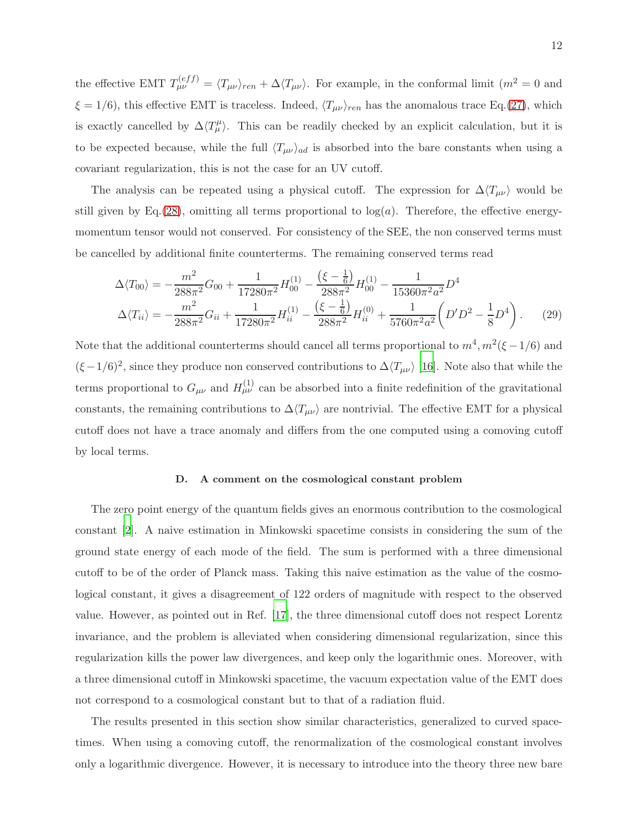the effective EMT  $T_{\mu\nu}^{(eff)} = \langle T_{\mu\nu} \rangle_{ren} + \Delta \langle T_{\mu\nu} \rangle$ . For example, in the conformal limit  $(m^2 = 0 \text{ and }$  $\xi = 1/6$ , this effective EMT is traceless. Indeed,  $\langle T_{\mu\nu} \rangle_{ren}$  has the anomalous trace Eq.[\(27\)](#page-10-1), which is exactly cancelled by  $\Delta \langle T^{\mu}_{\mu} \rangle$ . This can be readily checked by an explicit calculation, but it is to be expected because, while the full  $\langle T_{\mu\nu} \rangle_{ad}$  is absorbed into the bare constants when using a covariant regularization, this is not the case for an UV cutoff.

The analysis can be repeated using a physical cutoff. The expression for  $\Delta\langle T_{\mu\nu}\rangle$  would be still given by Eq.[\(28\)](#page-10-0), omitting all terms proportional to  $log(a)$ . Therefore, the effective energymomentum tensor would not conserved. For consistency of the SEE, the non conserved terms must be cancelled by additional finite counterterms. The remaining conserved terms read

$$
\Delta \langle T_{00} \rangle = -\frac{m^2}{288\pi^2} G_{00} + \frac{1}{17280\pi^2} H_{00}^{(1)} - \frac{(\xi - \frac{1}{6})}{288\pi^2} H_{00}^{(1)} - \frac{1}{15360\pi^2 a^2} D^4
$$
  
\n
$$
\Delta \langle T_{ii} \rangle = -\frac{m^2}{288\pi^2} G_{ii} + \frac{1}{17280\pi^2} H_{ii}^{(1)} - \frac{(\xi - \frac{1}{6})}{288\pi^2} H_{ii}^{(0)} + \frac{1}{5760\pi^2 a^2} \left( D'D^2 - \frac{1}{8} D^4 \right). \tag{29}
$$

Note that the additional counterterms should cancel all terms proportional to  $m^4$ ,  $m^2(\xi - 1/6)$  and  $(\xi - 1/6)^2$ , since they produce non conserved contributions to  $\Delta \langle T_{\mu\nu} \rangle$  [\[16](#page-18-11)]. Note also that while the terms proportional to  $G_{\mu\nu}$  and  $H_{\mu\nu}^{(1)}$  can be absorbed into a finite redefinition of the gravitational constants, the remaining contributions to  $\Delta\langle T_{\mu\nu}\rangle$  are nontrivial. The effective EMT for a physical cutoff does not have a trace anomaly and differs from the one computed using a comoving cutoff by local terms.

#### D. A comment on the cosmological constant problem

The zero point energy of the quantum fields gives an enormous contribution to the cosmological constant [\[2](#page-17-1)]. A naive estimation in Minkowski spacetime consists in considering the sum of the ground state energy of each mode of the field. The sum is performed with a three dimensional cutoff to be of the order of Planck mass. Taking this naive estimation as the value of the cosmological constant, it gives a disagreement of 122 orders of magnitude with respect to the observed value. However, as pointed out in Ref. [\[17](#page-18-12)], the three dimensional cutoff does not respect Lorentz invariance, and the problem is alleviated when considering dimensional regularization, since this regularization kills the power law divergences, and keep only the logarithmic ones. Moreover, with a three dimensional cutoff in Minkowski spacetime, the vacuum expectation value of the EMT does not correspond to a cosmological constant but to that of a radiation fluid.

The results presented in this section show similar characteristics, generalized to curved spacetimes. When using a comoving cutoff, the renormalization of the cosmological constant involves only a logarithmic divergence. However, it is necessary to introduce into the theory three new bare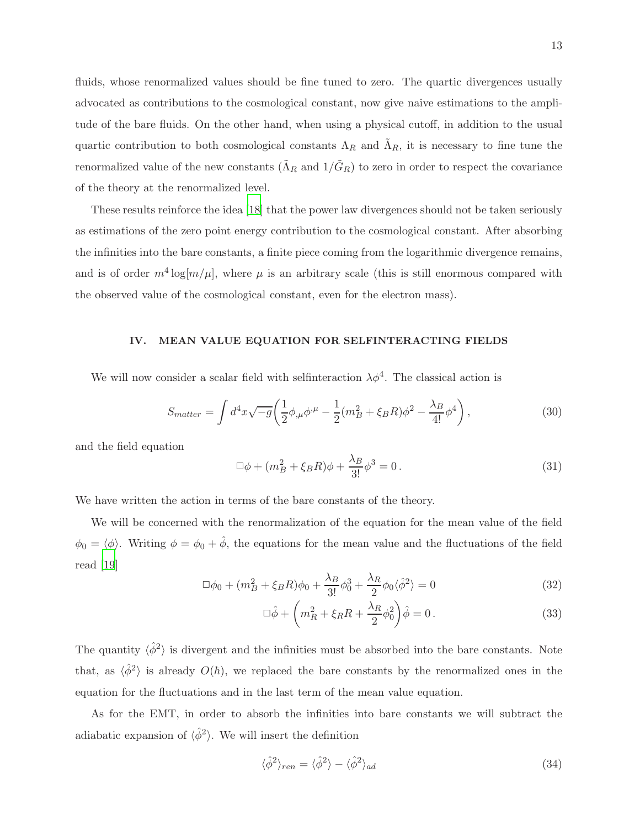fluids, whose renormalized values should be fine tuned to zero. The quartic divergences usually advocated as contributions to the cosmological constant, now give naive estimations to the amplitude of the bare fluids. On the other hand, when using a physical cutoff, in addition to the usual quartic contribution to both cosmological constants  $\Lambda_R$  and  $\tilde{\Lambda}_R$ , it is necessary to fine tune the renormalized value of the new constants  $(\tilde{\Lambda}_R$  and  $1/\tilde{G}_R$ ) to zero in order to respect the covariance of the theory at the renormalized level.

These results reinforce the idea [\[18](#page-18-13)] that the power law divergences should not be taken seriously as estimations of the zero point energy contribution to the cosmological constant. After absorbing the infinities into the bare constants, a finite piece coming from the logarithmic divergence remains, and is of order  $m^4 \log[m/\mu]$ , where  $\mu$  is an arbitrary scale (this is still enormous compared with the observed value of the cosmological constant, even for the electron mass).

#### IV. MEAN VALUE EQUATION FOR SELFINTERACTING FIELDS

We will now consider a scalar field with selfinteraction  $\lambda \phi^4$ . The classical action is

$$
S_{matter} = \int d^4x \sqrt{-g} \left( \frac{1}{2} \phi_{,\mu} \phi^{,\mu} - \frac{1}{2} (m_B^2 + \xi_B R) \phi^2 - \frac{\lambda_B}{4!} \phi^4 \right), \tag{30}
$$

and the field equation

$$
\Box \phi + (m_B^2 + \xi_B R)\phi + \frac{\lambda_B}{3!} \phi^3 = 0.
$$
 (31)

We have written the action in terms of the bare constants of the theory.

We will be concerned with the renormalization of the equation for the mean value of the field  $\phi_0 = \langle \phi \rangle$ . Writing  $\phi = \phi_0 + \hat{\phi}$ , the equations for the mean value and the fluctuations of the field read [\[19](#page-18-14)]

$$
\Box \phi_0 + (m_B^2 + \xi_B R)\phi_0 + \frac{\lambda_B}{3!} \phi_0^3 + \frac{\lambda_R}{2} \phi_0 \langle \hat{\phi}^2 \rangle = 0 \tag{32}
$$

$$
\Box \hat{\phi} + \left( m_R^2 + \xi_R R + \frac{\lambda_R}{2} \phi_0^2 \right) \hat{\phi} = 0. \tag{33}
$$

The quantity  $\langle \hat{\phi}^2 \rangle$  is divergent and the infinities must be absorbed into the bare constants. Note that, as  $\langle \hat{\phi}^2 \rangle$  is already  $O(\hbar)$ , we replaced the bare constants by the renormalized ones in the equation for the fluctuations and in the last term of the mean value equation.

As for the EMT, in order to absorb the infinities into bare constants we will subtract the adiabatic expansion of  $\langle \hat{\phi}^2 \rangle$ . We will insert the definition

$$
\langle \hat{\phi}^2 \rangle_{ren} = \langle \hat{\phi}^2 \rangle - \langle \hat{\phi}^2 \rangle_{ad} \tag{34}
$$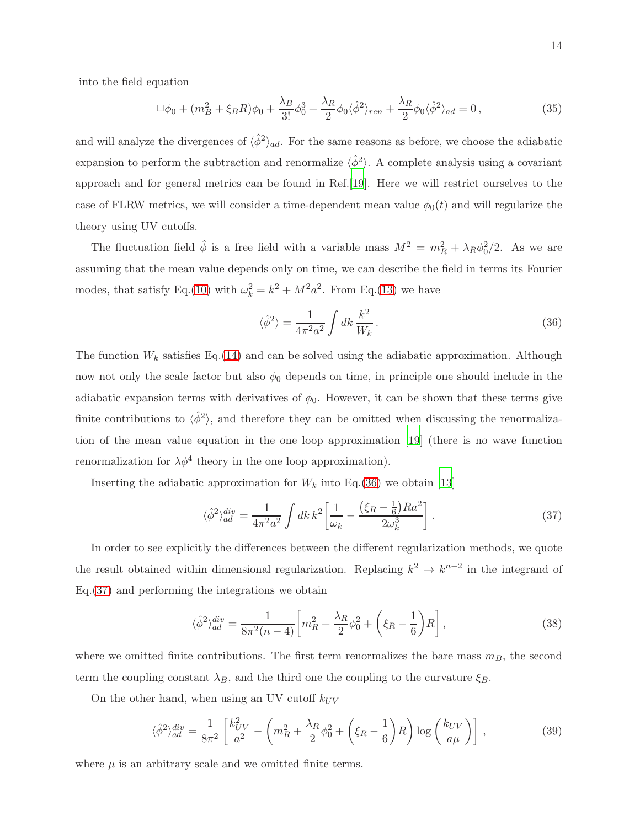into the field equation

$$
\Box \phi_0 + (m_B^2 + \xi_B R)\phi_0 + \frac{\lambda_B}{3!} \phi_0^3 + \frac{\lambda_R}{2} \phi_0 \langle \hat{\phi}^2 \rangle_{ren} + \frac{\lambda_R}{2} \phi_0 \langle \hat{\phi}^2 \rangle_{ad} = 0, \qquad (35)
$$

and will analyze the divergences of  $\langle \hat{\phi}^2 \rangle_{ad}$ . For the same reasons as before, we choose the adiabatic expansion to perform the subtraction and renormalize  $\langle \hat{\phi}^2 \rangle$ . A complete analysis using a covariant approach and for general metrics can be found in Ref.[\[19](#page-18-14)]. Here we will restrict ourselves to the case of FLRW metrics, we will consider a time-dependent mean value  $\phi_0(t)$  and will regularize the theory using UV cutoffs.

The fluctuation field  $\hat{\phi}$  is a free field with a variable mass  $M^2 = m_R^2 + \lambda_R \phi_0^2/2$ . As we are assuming that the mean value depends only on time, we can describe the field in terms its Fourier modes, that satisfy Eq.[\(10\)](#page-4-0) with  $\omega_k^2 = k^2 + M^2 a^2$ . From Eq.[\(13\)](#page-5-2) we have

<span id="page-13-0"></span>
$$
\langle \hat{\phi}^2 \rangle = \frac{1}{4\pi^2 a^2} \int dk \, \frac{k^2}{W_k} \,. \tag{36}
$$

The function  $W_k$  satisfies Eq.[\(14\)](#page-5-3) and can be solved using the adiabatic approximation. Although now not only the scale factor but also  $\phi_0$  depends on time, in principle one should include in the adiabatic expansion terms with derivatives of  $\phi_0$ . However, it can be shown that these terms give finite contributions to  $\langle \hat{\phi}^2 \rangle$ , and therefore they can be omitted when discussing the renormalization of the mean value equation in the one loop approximation [\[19\]](#page-18-14) (there is no wave function renormalization for  $\lambda \phi^4$  theory in the one loop approximation).

Inserting the adiabatic approximation for  $W_k$  into Eq.[\(36\)](#page-13-0) we obtain [\[13](#page-18-8)]

<span id="page-13-1"></span>
$$
\langle \hat{\phi}^2 \rangle_{ad}^{div} = \frac{1}{4\pi^2 a^2} \int dk \, k^2 \left[ \frac{1}{\omega_k} - \frac{\left(\xi_R - \frac{1}{6}\right) R a^2}{2\omega_k^3} \right]. \tag{37}
$$

In order to see explicitly the differences between the different regularization methods, we quote the result obtained within dimensional regularization. Replacing  $k^2 \to k^{n-2}$  in the integrand of Eq.[\(37\)](#page-13-1) and performing the integrations we obtain

$$
\langle \hat{\phi}^2 \rangle_{ad}^{div} = \frac{1}{8\pi^2(n-4)} \bigg[ m_R^2 + \frac{\lambda_R}{2} \phi_0^2 + \left( \xi_R - \frac{1}{6} \right) R \bigg],\tag{38}
$$

where we omitted finite contributions. The first term renormalizes the bare mass  $m_B$ , the second term the coupling constant  $\lambda_B$ , and the third one the coupling to the curvature  $\xi_B$ .

On the other hand, when using an UV cutoff  $k_{UV}$ 

<span id="page-13-2"></span>
$$
\langle \hat{\phi}^2 \rangle_{ad}^{div} = \frac{1}{8\pi^2} \left[ \frac{k_{UV}^2}{a^2} - \left( m_R^2 + \frac{\lambda_R}{2} \phi_0^2 + \left( \xi_R - \frac{1}{6} \right) R \right) \log \left( \frac{k_{UV}}{a\mu} \right) \right],\tag{39}
$$

where  $\mu$  is an arbitrary scale and we omitted finite terms.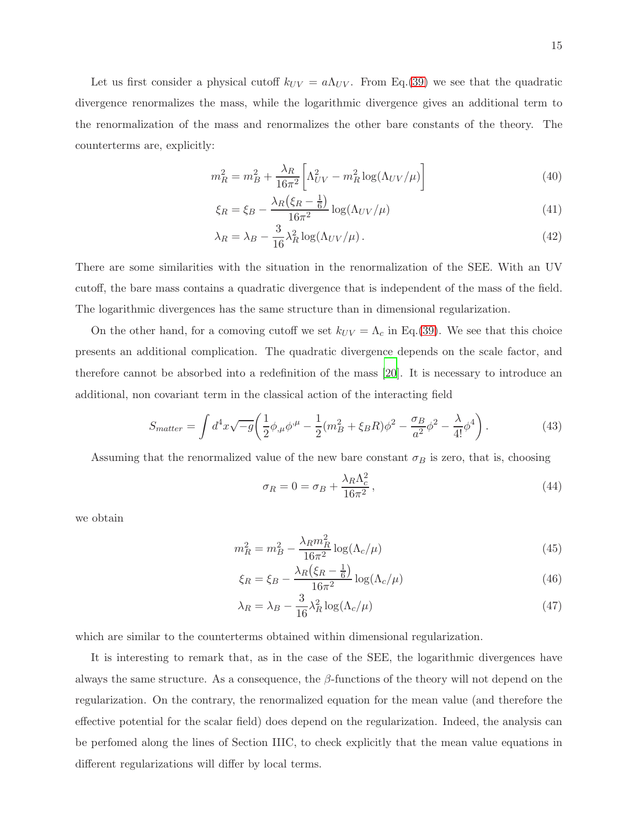Let us first consider a physical cutoff  $k_{UV} = a\Lambda_{UV}$ . From Eq.[\(39\)](#page-13-2) we see that the quadratic divergence renormalizes the mass, while the logarithmic divergence gives an additional term to the renormalization of the mass and renormalizes the other bare constants of the theory. The counterterms are, explicitly:

$$
m_R^2 = m_B^2 + \frac{\lambda_R}{16\pi^2} \bigg[ \Lambda_{UV}^2 - m_R^2 \log(\Lambda_{UV}/\mu) \bigg] \tag{40}
$$

$$
\xi_R = \xi_B - \frac{\lambda_R \left(\xi_R - \frac{1}{6}\right)}{16\pi^2} \log(\Lambda_{UV}/\mu) \tag{41}
$$

$$
\lambda_R = \lambda_B - \frac{3}{16} \lambda_R^2 \log(\Lambda_{UV}/\mu). \tag{42}
$$

There are some similarities with the situation in the renormalization of the SEE. With an UV cutoff, the bare mass contains a quadratic divergence that is independent of the mass of the field. The logarithmic divergences has the same structure than in dimensional regularization.

On the other hand, for a comoving cutoff we set  $k_{UV} = \Lambda_c$  in Eq.[\(39\)](#page-13-2). We see that this choice presents an additional complication. The quadratic divergence depends on the scale factor, and therefore cannot be absorbed into a redefinition of the mass [\[20\]](#page-18-15). It is necessary to introduce an additional, non covariant term in the classical action of the interacting field

<span id="page-14-0"></span>
$$
S_{matter} = \int d^4x \sqrt{-g} \left( \frac{1}{2} \phi_{,\mu} \phi^{,\mu} - \frac{1}{2} (m_B^2 + \xi_B R) \phi^2 - \frac{\sigma_B}{a^2} \phi^2 - \frac{\lambda}{4!} \phi^4 \right). \tag{43}
$$

Assuming that the renormalized value of the new bare constant  $\sigma_B$  is zero, that is, choosing

$$
\sigma_R = 0 = \sigma_B + \frac{\lambda_R \Lambda_c^2}{16\pi^2},\tag{44}
$$

we obtain

$$
m_R^2 = m_B^2 - \frac{\lambda_R m_R^2}{16\pi^2} \log(\Lambda_c/\mu)
$$
\n(45)

$$
\xi_R = \xi_B - \frac{\lambda_R \left(\xi_R - \frac{1}{6}\right)}{16\pi^2} \log(\Lambda_c/\mu) \tag{46}
$$

$$
\lambda_R = \lambda_B - \frac{3}{16} \lambda_R^2 \log(\Lambda_c/\mu)
$$
\n(47)

which are similar to the counterterms obtained within dimensional regularization.

It is interesting to remark that, as in the case of the SEE, the logarithmic divergences have always the same structure. As a consequence, the  $\beta$ -functions of the theory will not depend on the regularization. On the contrary, the renormalized equation for the mean value (and therefore the effective potential for the scalar field) does depend on the regularization. Indeed, the analysis can be perfomed along the lines of Section IIIC, to check explicitly that the mean value equations in different regularizations will differ by local terms.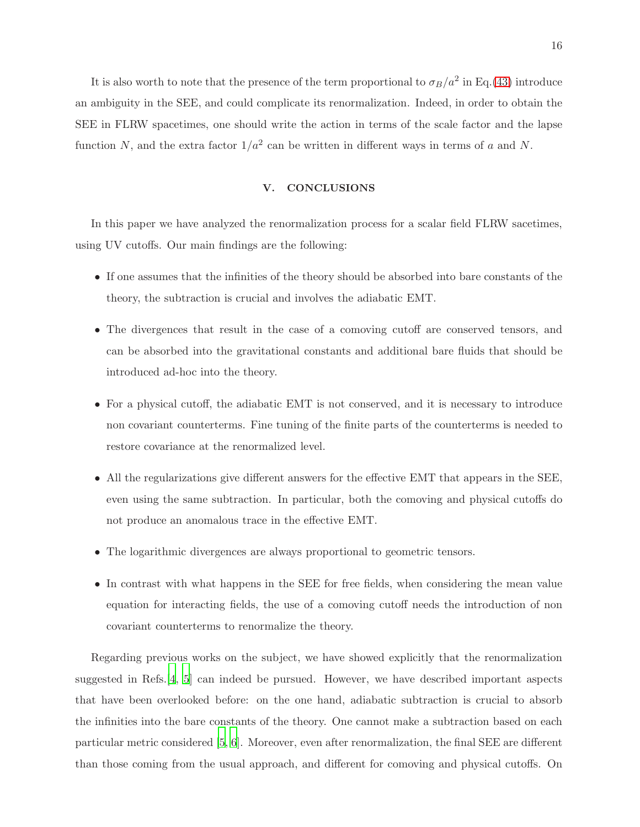It is also worth to note that the presence of the term proportional to  $\sigma_B/a^2$  in Eq.[\(43\)](#page-14-0) introduce an ambiguity in the SEE, and could complicate its renormalization. Indeed, in order to obtain the SEE in FLRW spacetimes, one should write the action in terms of the scale factor and the lapse function N, and the extra factor  $1/a^2$  can be written in different ways in terms of a and N.

# V. CONCLUSIONS

In this paper we have analyzed the renormalization process for a scalar field FLRW sacetimes, using UV cutoffs. Our main findings are the following:

- If one assumes that the infinities of the theory should be absorbed into bare constants of the theory, the subtraction is crucial and involves the adiabatic EMT.
- The divergences that result in the case of a comoving cutoff are conserved tensors, and can be absorbed into the gravitational constants and additional bare fluids that should be introduced ad-hoc into the theory.
- For a physical cutoff, the adiabatic EMT is not conserved, and it is necessary to introduce non covariant counterterms. Fine tuning of the finite parts of the counterterms is needed to restore covariance at the renormalized level.
- All the regularizations give different answers for the effective EMT that appears in the SEE, even using the same subtraction. In particular, both the comoving and physical cutoffs do not produce an anomalous trace in the effective EMT.
- The logarithmic divergences are always proportional to geometric tensors.
- In contrast with what happens in the SEE for free fields, when considering the mean value equation for interacting fields, the use of a comoving cutoff needs the introduction of non covariant counterterms to renormalize the theory.

Regarding previous works on the subject, we have showed explicitly that the renormalization suggested in Refs.[\[4](#page-17-3), [5](#page-18-0)] can indeed be pursued. However, we have described important aspects that have been overlooked before: on the one hand, adiabatic subtraction is crucial to absorb the infinities into the bare constants of the theory. One cannot make a subtraction based on each particular metric considered [\[5](#page-18-0), [6\]](#page-18-1). Moreover, even after renormalization, the final SEE are different than those coming from the usual approach, and different for comoving and physical cutoffs. On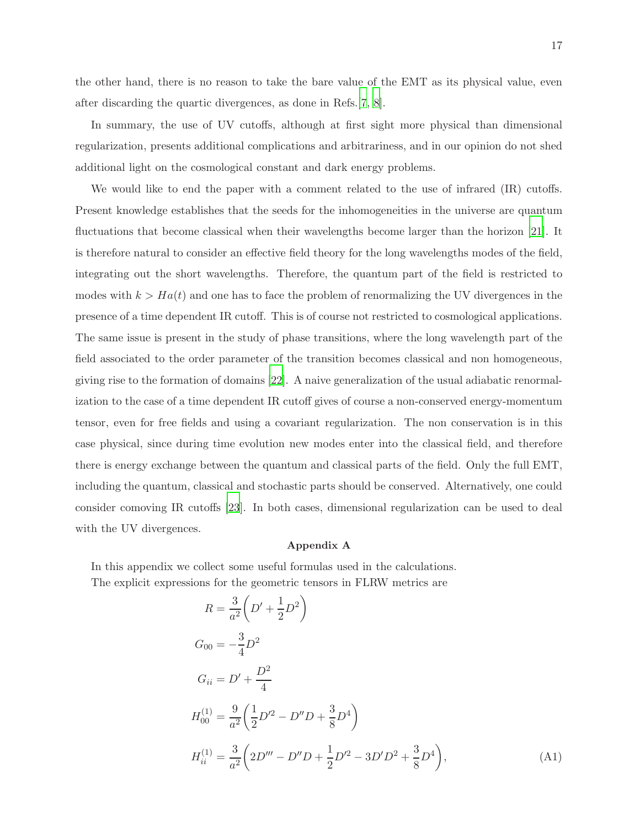the other hand, there is no reason to take the bare value of the EMT as its physical value, even after discarding the quartic divergences, as done in Refs.[\[7,](#page-18-2) [8](#page-18-3)].

In summary, the use of UV cutoffs, although at first sight more physical than dimensional regularization, presents additional complications and arbitrariness, and in our opinion do not shed additional light on the cosmological constant and dark energy problems.

We would like to end the paper with a comment related to the use of infrared (IR) cutoffs. Present knowledge establishes that the seeds for the inhomogeneities in the universe are quantum fluctuations that become classical when their wavelengths become larger than the horizon [\[21\]](#page-18-16). It is therefore natural to consider an effective field theory for the long wavelengths modes of the field, integrating out the short wavelengths. Therefore, the quantum part of the field is restricted to modes with  $k > Ha(t)$  and one has to face the problem of renormalizing the UV divergences in the presence of a time dependent IR cutoff. This is of course not restricted to cosmological applications. The same issue is present in the study of phase transitions, where the long wavelength part of the field associated to the order parameter of the transition becomes classical and non homogeneous, giving rise to the formation of domains [\[22](#page-18-17)]. A naive generalization of the usual adiabatic renormalization to the case of a time dependent IR cutoff gives of course a non-conserved energy-momentum tensor, even for free fields and using a covariant regularization. The non conservation is in this case physical, since during time evolution new modes enter into the classical field, and therefore there is energy exchange between the quantum and classical parts of the field. Only the full EMT, including the quantum, classical and stochastic parts should be conserved. Alternatively, one could consider comoving IR cutoffs [\[23](#page-18-18)]. In both cases, dimensional regularization can be used to deal with the UV divergences.

## Appendix A

In this appendix we collect some useful formulas used in the calculations. The explicit expressions for the geometric tensors in FLRW metrics are

$$
R = \frac{3}{a^2} \left( D' + \frac{1}{2} D^2 \right)
$$
  
\n
$$
G_{00} = -\frac{3}{4} D^2
$$
  
\n
$$
G_{ii} = D' + \frac{D^2}{4}
$$
  
\n
$$
H_{00}^{(1)} = \frac{9}{a^2} \left( \frac{1}{2} D'^2 - D'' D + \frac{3}{8} D^4 \right)
$$
  
\n
$$
H_{ii}^{(1)} = \frac{3}{a^2} \left( 2D''' - D'' D + \frac{1}{2} D'^2 - 3D' D^2 + \frac{3}{8} D^4 \right),
$$
\n(A1)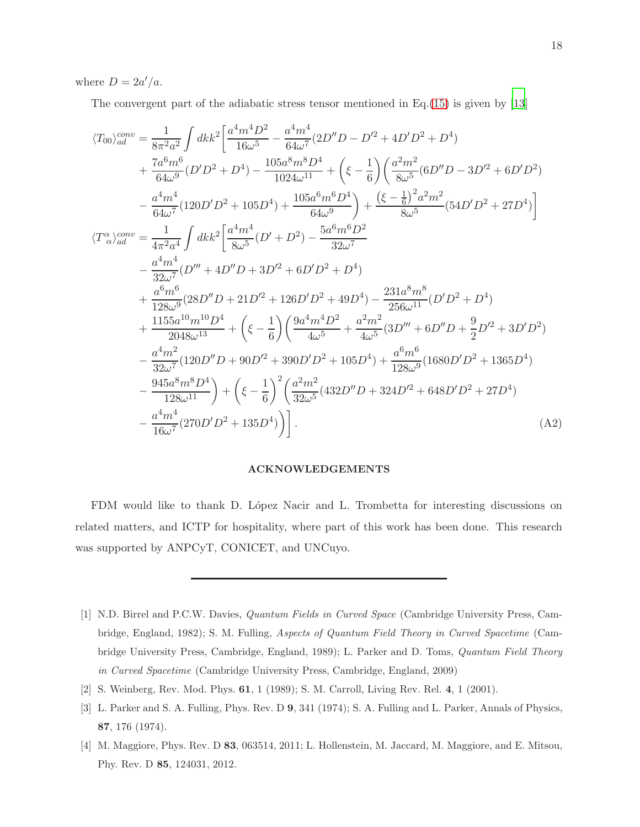where  $D = 2a'/a$ .

The convergent part of the adiabatic stress tensor mentioned in Eq.  $(15)$  is given by [\[13](#page-18-8)]

$$
\langle T_{00}\rangle_{ad}^{conv} = \frac{1}{8\pi^2 a^2} \int dk k^2 \left[ \frac{a^4 m^4 D^2}{16\omega^5} - \frac{a^4 m^4}{64\omega^7} (2D''D - D'^2 + 4D'D^2 + D^4) \right. \\ \left. + \frac{7a^6 m^6}{64\omega^9} (D'D^2 + D^4) - \frac{105a^8 m^8 D^4}{1024\omega^{11}} + \left(\xi - \frac{1}{6}\right) \left(\frac{a^2 m^2}{8\omega^5} (6D''D - 3D'^2 + 6D'D^2) \right. \\ \left. - \frac{a^4 m^4}{64\omega^7} (120D'D^2 + 105D^4) + \frac{105a^6 m^6 D^4}{64\omega^9} \right) + \frac{(\xi - \frac{1}{6})^2 a^2 m^2}{8\omega^5} (54D'D^2 + 27D^4) \right] \\ \langle T^{\alpha}_{\alpha} \rangle_{ad}^{conv} = \frac{1}{4\pi^2 a^4} \int dk k^2 \left[ \frac{a^4 m^4}{8\omega^5} (D' + D^2) - \frac{5a^6 m^6 D^2}{32\omega^7} \right. \\ \left. - \frac{a^4 m^4}{32\omega^7} (D''' + 4D''D + 3D'^2 + 6D'D^2 + D^4) \right. \\ \left. + \frac{a^6 m^6}{128\omega^9} (28D''D + 21D'^2 + 126D'D^2 + 49D^4) - \frac{231a^8 m^8}{256\omega^{11}} (D'D^2 + D^4) \right. \\ \left. + \frac{1155a^{10} m^{10} D^4}{2048\omega^{13}} + \left(\xi - \frac{1}{6}\right) \left(\frac{9a^4 m^4 D^2}{4\omega^5} + \frac{a^2 m^2}{4\omega^5} (3D''' + 6D''D + \frac{9}{2}D'^2 + 3D'D^2) \right. \\ \left. - \frac{a^4 m^2}{32\omega^7} (120D''D + 90D'^2 + 390D'D^2 + 105D^4) + \frac{a^6 m^6}{128\omega^9} (168
$$

## ACKNOWLEDGEMENTS

FDM would like to thank D. López Nacir and L. Trombetta for interesting discussions on related matters, and ICTP for hospitality, where part of this work has been done. This research was supported by ANPCyT, CONICET, and UNCuyo.

- <span id="page-17-0"></span>[1] N.D. Birrel and P.C.W. Davies, Quantum Fields in Curved Space (Cambridge University Press, Cambridge, England, 1982); S. M. Fulling, Aspects of Quantum Field Theory in Curved Spacetime (Cambridge University Press, Cambridge, England, 1989); L. Parker and D. Toms, Quantum Field Theory in Curved Spacetime (Cambridge University Press, Cambridge, England, 2009)
- <span id="page-17-1"></span>[2] S. Weinberg, Rev. Mod. Phys. 61, 1 (1989); S. M. Carroll, Living Rev. Rel. 4, 1 (2001).
- <span id="page-17-2"></span>[3] L. Parker and S. A. Fulling, Phys. Rev. D 9, 341 (1974); S. A. Fulling and L. Parker, Annals of Physics, 87, 176 (1974).
- <span id="page-17-3"></span>[4] M. Maggiore, Phys. Rev. D 83, 063514, 2011; L. Hollenstein, M. Jaccard, M. Maggiore, and E. Mitsou, Phy. Rev. D 85, 124031, 2012.